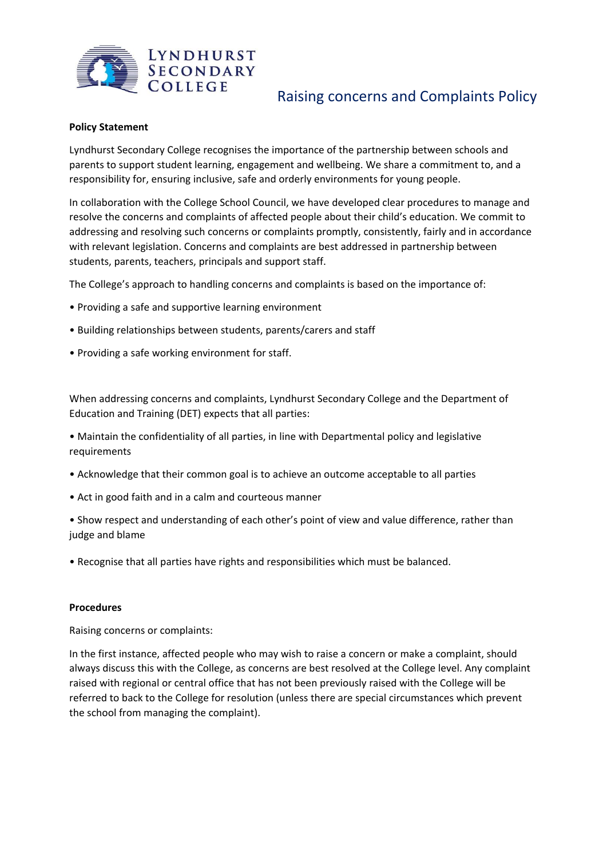

# Raising concerns and Complaints Policy

## **Policy Statement**

Lyndhurst Secondary College recognises the importance of the partnership between schools and parents to support student learning, engagement and wellbeing. We share a commitment to, and a responsibility for, ensuring inclusive, safe and orderly environments for young people.

In collaboration with the College School Council, we have developed clear procedures to manage and resolve the concerns and complaints of affected people about their child's education. We commit to addressing and resolving such concerns or complaints promptly, consistently, fairly and in accordance with relevant legislation. Concerns and complaints are best addressed in partnership between students, parents, teachers, principals and support staff.

The College's approach to handling concerns and complaints is based on the importance of:

- Providing a safe and supportive learning environment
- Building relationships between students, parents/carers and staff
- Providing a safe working environment for staff.

When addressing concerns and complaints, Lyndhurst Secondary College and the Department of Education and Training (DET) expects that all parties:

• Maintain the confidentiality of all parties, in line with Departmental policy and legislative requirements

- Acknowledge that their common goal is to achieve an outcome acceptable to all parties
- Act in good faith and in a calm and courteous manner

• Show respect and understanding of each other's point of view and value difference, rather than judge and blame

• Recognise that all parties have rights and responsibilities which must be balanced.

## **Procedures**

Raising concerns or complaints:

In the first instance, affected people who may wish to raise a concern or make a complaint, should always discuss this with the College, as concerns are best resolved at the College level. Any complaint raised with regional or central office that has not been previously raised with the College will be referred to back to the College for resolution (unless there are special circumstances which prevent the school from managing the complaint).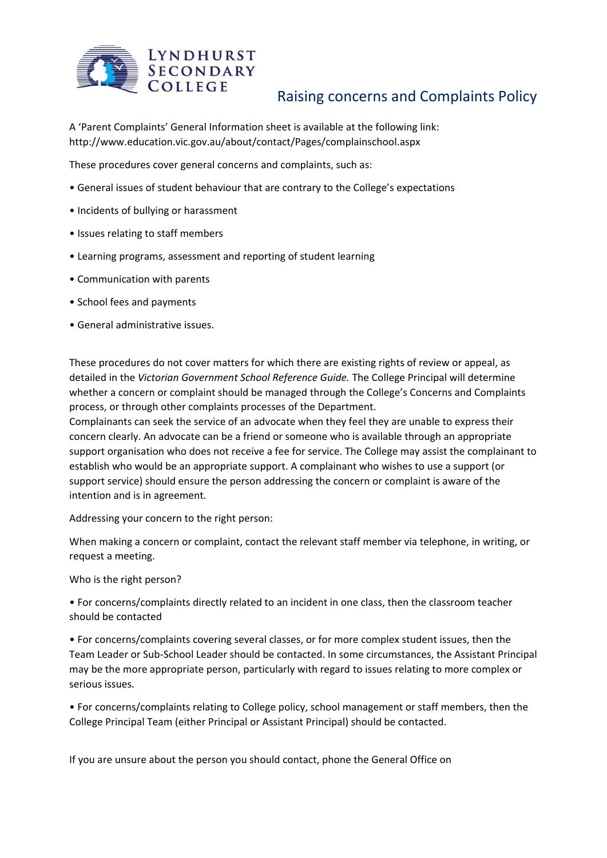

A 'Parent Complaints' General Information sheet is available at the following link: http://www.education.vic.gov.au/about/contact/Pages/complainschool.aspx

These procedures cover general concerns and complaints, such as:

- General issues of student behaviour that are contrary to the College's expectations
- Incidents of bullying or harassment
- Issues relating to staff members
- Learning programs, assessment and reporting of student learning
- Communication with parents
- School fees and payments
- General administrative issues.

These procedures do not cover matters for which there are existing rights of review or appeal, as detailed in the *Victorian Government School Reference Guide.* The College Principal will determine whether a concern or complaint should be managed through the College's Concerns and Complaints process, or through other complaints processes of the Department.

Complainants can seek the service of an advocate when they feel they are unable to express their concern clearly. An advocate can be a friend or someone who is available through an appropriate support organisation who does not receive a fee for service. The College may assist the complainant to establish who would be an appropriate support. A complainant who wishes to use a support (or support service) should ensure the person addressing the concern or complaint is aware of the intention and is in agreement.

Addressing your concern to the right person:

When making a concern or complaint, contact the relevant staff member via telephone, in writing, or request a meeting.

Who is the right person?

• For concerns/complaints directly related to an incident in one class, then the classroom teacher should be contacted

• For concerns/complaints covering several classes, or for more complex student issues, then the Team Leader or Sub-School Leader should be contacted. In some circumstances, the Assistant Principal may be the more appropriate person, particularly with regard to issues relating to more complex or serious issues.

• For concerns/complaints relating to College policy, school management or staff members, then the College Principal Team (either Principal or Assistant Principal) should be contacted.

If you are unsure about the person you should contact, phone the General Office on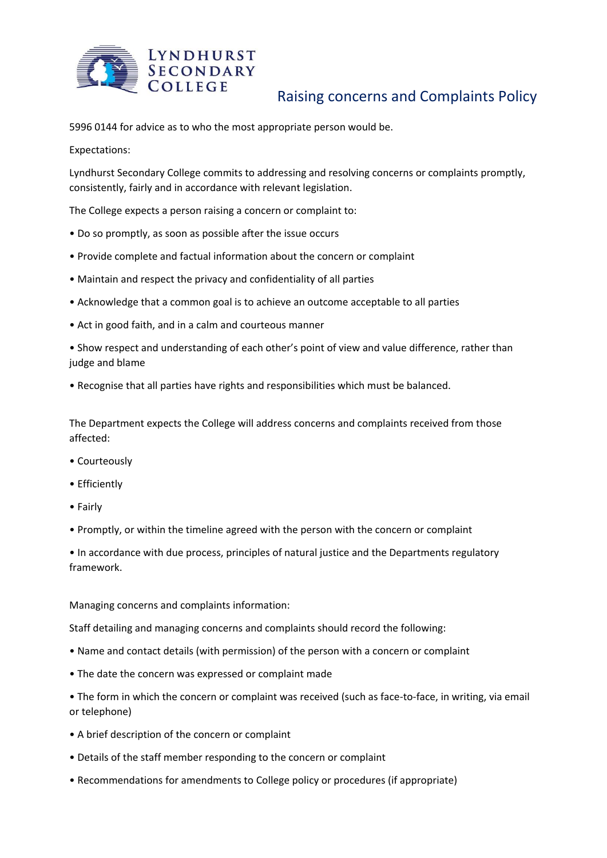

# Raising concerns and Complaints Policy

5996 0144 for advice as to who the most appropriate person would be.

Expectations:

Lyndhurst Secondary College commits to addressing and resolving concerns or complaints promptly, consistently, fairly and in accordance with relevant legislation.

The College expects a person raising a concern or complaint to:

- Do so promptly, as soon as possible after the issue occurs
- Provide complete and factual information about the concern or complaint
- Maintain and respect the privacy and confidentiality of all parties
- Acknowledge that a common goal is to achieve an outcome acceptable to all parties
- Act in good faith, and in a calm and courteous manner

• Show respect and understanding of each other's point of view and value difference, rather than judge and blame

• Recognise that all parties have rights and responsibilities which must be balanced.

The Department expects the College will address concerns and complaints received from those affected:

- Courteously
- Efficiently
- Fairly
- Promptly, or within the timeline agreed with the person with the concern or complaint

• In accordance with due process, principles of natural justice and the Departments regulatory framework.

Managing concerns and complaints information:

Staff detailing and managing concerns and complaints should record the following:

- Name and contact details (with permission) of the person with a concern or complaint
- The date the concern was expressed or complaint made
- The form in which the concern or complaint was received (such as face-to-face, in writing, via email or telephone)
- A brief description of the concern or complaint
- Details of the staff member responding to the concern or complaint
- Recommendations for amendments to College policy or procedures (if appropriate)